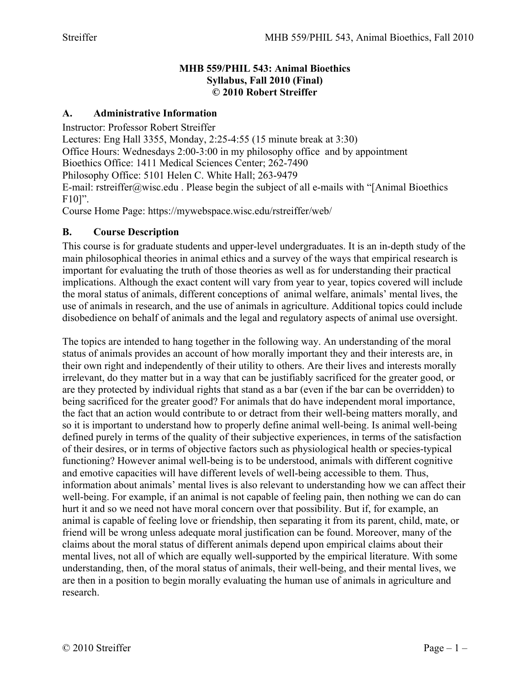#### **MHB 559/PHIL 543: Animal Bioethics Syllabus, Fall 2010 (Final) © 2010 Robert Streiffer**

### **A. Administrative Information**

Instructor: Professor Robert Streiffer

Lectures: Eng Hall 3355, Monday, 2:25-4:55 (15 minute break at 3:30) Office Hours: Wednesdays 2:00-3:00 in my philosophy office and by appointment Bioethics Office: 1411 Medical Sciences Center; 262-7490 Philosophy Office: 5101 Helen C. White Hall; 263-9479 E-mail: rstreiffer@wisc.edu. Please begin the subject of all e-mails with "[Animal Bioethics F10]".

Course Home Page: https://mywebspace.wisc.edu/rstreiffer/web/

### **B. Course Description**

This course is for graduate students and upper-level undergraduates. It is an in-depth study of the main philosophical theories in animal ethics and a survey of the ways that empirical research is important for evaluating the truth of those theories as well as for understanding their practical implications. Although the exact content will vary from year to year, topics covered will include the moral status of animals, different conceptions of animal welfare, animals' mental lives, the use of animals in research, and the use of animals in agriculture. Additional topics could include disobedience on behalf of animals and the legal and regulatory aspects of animal use oversight.

The topics are intended to hang together in the following way. An understanding of the moral status of animals provides an account of how morally important they and their interests are, in their own right and independently of their utility to others. Are their lives and interests morally irrelevant, do they matter but in a way that can be justifiably sacrificed for the greater good, or are they protected by individual rights that stand as a bar (even if the bar can be overridden) to being sacrificed for the greater good? For animals that do have independent moral importance, the fact that an action would contribute to or detract from their well-being matters morally, and so it is important to understand how to properly define animal well-being. Is animal well-being defined purely in terms of the quality of their subjective experiences, in terms of the satisfaction of their desires, or in terms of objective factors such as physiological health or species-typical functioning? However animal well-being is to be understood, animals with different cognitive and emotive capacities will have different levels of well-being accessible to them. Thus, information about animals' mental lives is also relevant to understanding how we can affect their well-being. For example, if an animal is not capable of feeling pain, then nothing we can do can hurt it and so we need not have moral concern over that possibility. But if, for example, an animal is capable of feeling love or friendship, then separating it from its parent, child, mate, or friend will be wrong unless adequate moral justification can be found. Moreover, many of the claims about the moral status of different animals depend upon empirical claims about their mental lives, not all of which are equally well-supported by the empirical literature. With some understanding, then, of the moral status of animals, their well-being, and their mental lives, we are then in a position to begin morally evaluating the human use of animals in agriculture and research.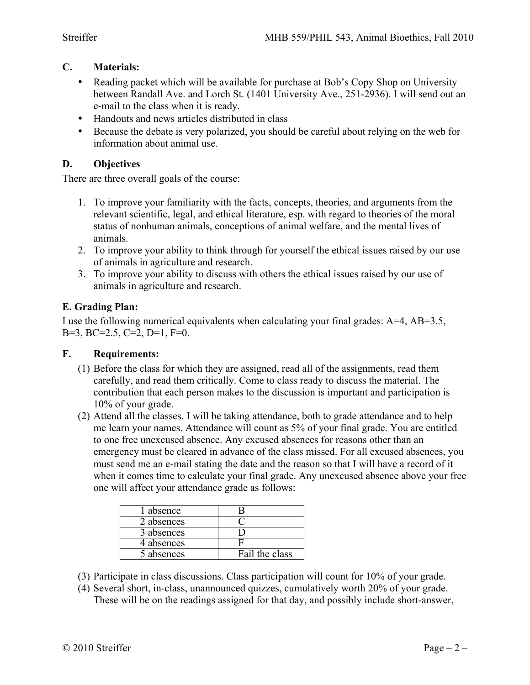# **C. Materials:**

- Reading packet which will be available for purchase at Bob's Copy Shop on University between Randall Ave. and Lorch St. (1401 University Ave., 251-2936). I will send out an e-mail to the class when it is ready.
- Handouts and news articles distributed in class
- Because the debate is very polarized, you should be careful about relying on the web for information about animal use.

# **D. Objectives**

There are three overall goals of the course:

- 1. To improve your familiarity with the facts, concepts, theories, and arguments from the relevant scientific, legal, and ethical literature, esp. with regard to theories of the moral status of nonhuman animals, conceptions of animal welfare, and the mental lives of animals.
- 2. To improve your ability to think through for yourself the ethical issues raised by our use of animals in agriculture and research.
- 3. To improve your ability to discuss with others the ethical issues raised by our use of animals in agriculture and research.

# **E. Grading Plan:**

I use the following numerical equivalents when calculating your final grades: A=4, AB=3.5,  $B=3$ ,  $BC=2.5$ ,  $C=2$ ,  $D=1$ ,  $F=0$ .

# **F. Requirements:**

- (1) Before the class for which they are assigned, read all of the assignments, read them carefully, and read them critically. Come to class ready to discuss the material. The contribution that each person makes to the discussion is important and participation is 10% of your grade.
- (2) Attend all the classes. I will be taking attendance, both to grade attendance and to help me learn your names. Attendance will count as 5% of your final grade. You are entitled to one free unexcused absence. Any excused absences for reasons other than an emergency must be cleared in advance of the class missed. For all excused absences, you must send me an e-mail stating the date and the reason so that I will have a record of it when it comes time to calculate your final grade. Any unexcused absence above your free one will affect your attendance grade as follows:

| 1 absence  |                |
|------------|----------------|
| 2 absences |                |
| 3 absences |                |
| 4 absences |                |
| 5 absences | Fail the class |

- (3) Participate in class discussions. Class participation will count for 10% of your grade.
- (4) Several short, in-class, unannounced quizzes, cumulatively worth 20% of your grade. These will be on the readings assigned for that day, and possibly include short-answer,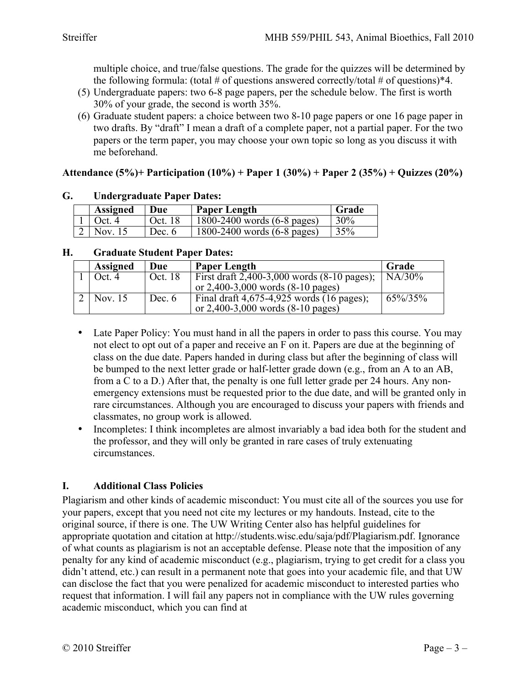multiple choice, and true/false questions. The grade for the quizzes will be determined by the following formula: (total # of questions answered correctly/total # of questions)\*4.

- (5) Undergraduate papers: two 6-8 page papers, per the schedule below. The first is worth 30% of your grade, the second is worth 35%.
- (6) Graduate student papers: a choice between two 8-10 page papers or one 16 page paper in two drafts. By "draft" I mean a draft of a complete paper, not a partial paper. For the two papers or the term paper, you may choose your own topic so long as you discuss it with me beforehand.

# **Attendance (5%)+ Participation (10%) + Paper 1 (30%) + Paper 2 (35%) + Quizzes (20%)**

| .                        |          |                                   |       |  |
|--------------------------|----------|-----------------------------------|-------|--|
| <b>Assigned</b>          | Due      | <b>Paper Length</b>               | Grade |  |
| $\vert$ Oct. 4           | Oct. 18  | $1800 - 2400$ words $(6-8$ pages) | 30%   |  |
| $2 \mid \text{Nov. } 15$ | Dec. $6$ | $1800-2400$ words $(6-8$ pages)   | 135%  |  |

### **G. Undergraduate Paper Dates:**

### **H. Graduate Student Paper Dates:**

| <b>Assigned</b>   | Due      | <b>Paper Length</b>                                                                             | Grade       |
|-------------------|----------|-------------------------------------------------------------------------------------------------|-------------|
| Oct 4             | Oct. 18  | First draft 2,400-3,000 words $(8-10 \text{ pages})$ ;<br>or $2,400-3,000$ words $(8-10$ pages) | $NA/30\%$   |
| $\sqrt{Nov}$ , 15 | Dec. $6$ | Final draft $4,675-4,925$ words (16 pages);<br>or $2,400-3,000$ words $(8-10$ pages)            | $65\%/35\%$ |

- Late Paper Policy: You must hand in all the papers in order to pass this course. You may not elect to opt out of a paper and receive an F on it. Papers are due at the beginning of class on the due date. Papers handed in during class but after the beginning of class will be bumped to the next letter grade or half-letter grade down (e.g., from an A to an AB, from a C to a D.) After that, the penalty is one full letter grade per 24 hours. Any nonemergency extensions must be requested prior to the due date, and will be granted only in rare circumstances. Although you are encouraged to discuss your papers with friends and classmates, no group work is allowed.
- Incompletes: I think incompletes are almost invariably a bad idea both for the student and the professor, and they will only be granted in rare cases of truly extenuating circumstances.

# **I. Additional Class Policies**

Plagiarism and other kinds of academic misconduct: You must cite all of the sources you use for your papers, except that you need not cite my lectures or my handouts. Instead, cite to the original source, if there is one. The UW Writing Center also has helpful guidelines for appropriate quotation and citation at http://students.wisc.edu/saja/pdf/Plagiarism.pdf. Ignorance of what counts as plagiarism is not an acceptable defense. Please note that the imposition of any penalty for any kind of academic misconduct (e.g., plagiarism, trying to get credit for a class you didn't attend, etc.) can result in a permanent note that goes into your academic file, and that UW can disclose the fact that you were penalized for academic misconduct to interested parties who request that information. I will fail any papers not in compliance with the UW rules governing academic misconduct, which you can find at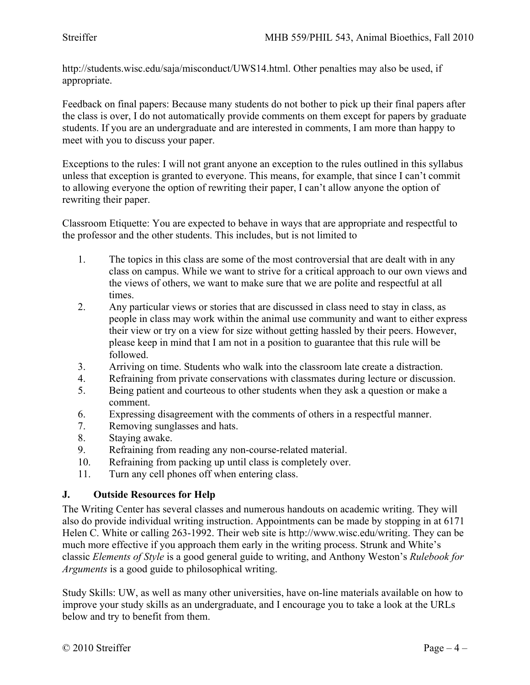http://students.wisc.edu/saja/misconduct/UWS14.html. Other penalties may also be used, if appropriate.

Feedback on final papers: Because many students do not bother to pick up their final papers after the class is over, I do not automatically provide comments on them except for papers by graduate students. If you are an undergraduate and are interested in comments, I am more than happy to meet with you to discuss your paper.

Exceptions to the rules: I will not grant anyone an exception to the rules outlined in this syllabus unless that exception is granted to everyone. This means, for example, that since I can't commit to allowing everyone the option of rewriting their paper, I can't allow anyone the option of rewriting their paper.

Classroom Etiquette: You are expected to behave in ways that are appropriate and respectful to the professor and the other students. This includes, but is not limited to

- 1. The topics in this class are some of the most controversial that are dealt with in any class on campus. While we want to strive for a critical approach to our own views and the views of others, we want to make sure that we are polite and respectful at all times.
- 2. Any particular views or stories that are discussed in class need to stay in class, as people in class may work within the animal use community and want to either express their view or try on a view for size without getting hassled by their peers. However, please keep in mind that I am not in a position to guarantee that this rule will be followed.
- 3. Arriving on time. Students who walk into the classroom late create a distraction.
- 4. Refraining from private conservations with classmates during lecture or discussion.
- 5. Being patient and courteous to other students when they ask a question or make a comment.
- 6. Expressing disagreement with the comments of others in a respectful manner.
- 7. Removing sunglasses and hats.
- 8. Staying awake.
- 9. Refraining from reading any non-course-related material.
- 10. Refraining from packing up until class is completely over.
- 11. Turn any cell phones off when entering class.

#### **J. Outside Resources for Help**

The Writing Center has several classes and numerous handouts on academic writing. They will also do provide individual writing instruction. Appointments can be made by stopping in at 6171 Helen C. White or calling 263-1992. Their web site is http://www.wisc.edu/writing. They can be much more effective if you approach them early in the writing process. Strunk and White's classic *Elements of Style* is a good general guide to writing, and Anthony Weston's *Rulebook for Arguments* is a good guide to philosophical writing.

Study Skills: UW, as well as many other universities, have on-line materials available on how to improve your study skills as an undergraduate, and I encourage you to take a look at the URLs below and try to benefit from them.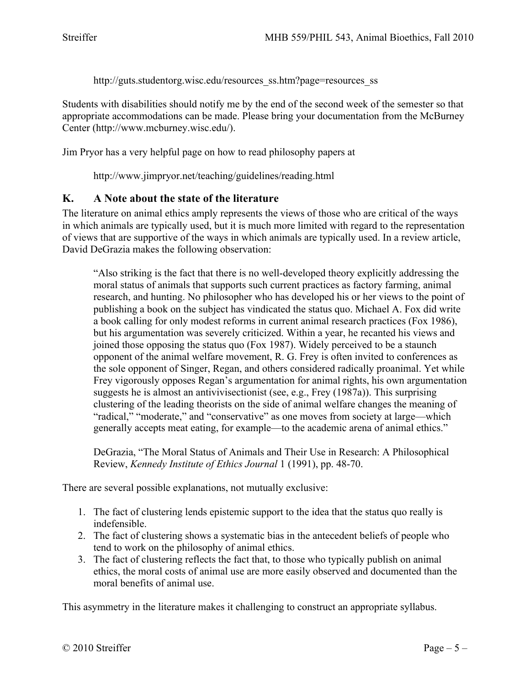http://guts.studentorg.wisc.edu/resources\_ss.htm?page=resources\_ss

Students with disabilities should notify me by the end of the second week of the semester so that appropriate accommodations can be made. Please bring your documentation from the McBurney Center (http://www.mcburney.wisc.edu/).

Jim Pryor has a very helpful page on how to read philosophy papers at

http://www.jimpryor.net/teaching/guidelines/reading.html

# **K. A Note about the state of the literature**

The literature on animal ethics amply represents the views of those who are critical of the ways in which animals are typically used, but it is much more limited with regard to the representation of views that are supportive of the ways in which animals are typically used. In a review article, David DeGrazia makes the following observation:

"Also striking is the fact that there is no well-developed theory explicitly addressing the moral status of animals that supports such current practices as factory farming, animal research, and hunting. No philosopher who has developed his or her views to the point of publishing a book on the subject has vindicated the status quo. Michael A. Fox did write a book calling for only modest reforms in current animal research practices (Fox 1986), but his argumentation was severely criticized. Within a year, he recanted his views and joined those opposing the status quo (Fox 1987). Widely perceived to be a staunch opponent of the animal welfare movement, R. G. Frey is often invited to conferences as the sole opponent of Singer, Regan, and others considered radically proanimal. Yet while Frey vigorously opposes Regan's argumentation for animal rights, his own argumentation suggests he is almost an antivivisectionist (see, e.g., Frey (1987a)). This surprising clustering of the leading theorists on the side of animal welfare changes the meaning of "radical," "moderate," and "conservative" as one moves from society at large—which generally accepts meat eating, for example—to the academic arena of animal ethics."

DeGrazia, "The Moral Status of Animals and Their Use in Research: A Philosophical Review, *Kennedy Institute of Ethics Journal* 1 (1991), pp. 48-70.

There are several possible explanations, not mutually exclusive:

- 1. The fact of clustering lends epistemic support to the idea that the status quo really is indefensible.
- 2. The fact of clustering shows a systematic bias in the antecedent beliefs of people who tend to work on the philosophy of animal ethics.
- 3. The fact of clustering reflects the fact that, to those who typically publish on animal ethics, the moral costs of animal use are more easily observed and documented than the moral benefits of animal use.

This asymmetry in the literature makes it challenging to construct an appropriate syllabus.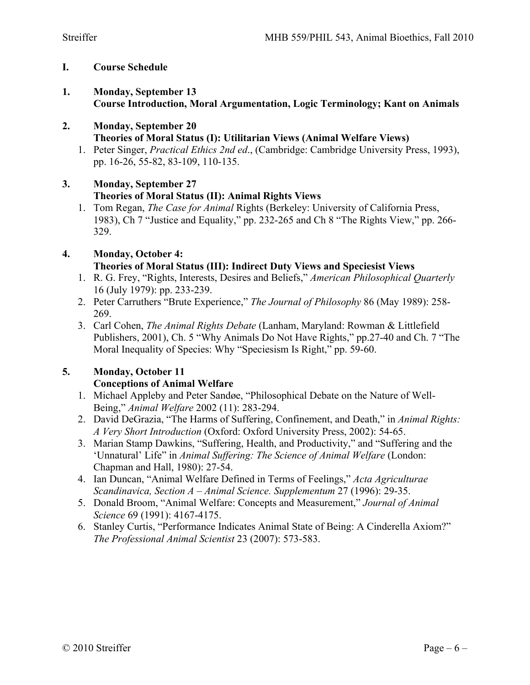### **I. Course Schedule**

- **1. Monday, September 13 Course Introduction, Moral Argumentation, Logic Terminology; Kant on Animals**
- **2. Monday, September 20 Theories of Moral Status (I): Utilitarian Views (Animal Welfare Views)**
	- 1. Peter Singer, *Practical Ethics 2nd ed*., (Cambridge: Cambridge University Press, 1993), pp. 16-26, 55-82, 83-109, 110-135.

# **3. Monday, September 27 Theories of Moral Status (II): Animal Rights Views**

1. Tom Regan, *The Case for Animal* Rights (Berkeley: University of California Press, 1983), Ch 7 "Justice and Equality," pp. 232-265 and Ch 8 "The Rights View," pp. 266- 329.

# **4. Monday, October 4: Theories of Moral Status (III): Indirect Duty Views and Speciesist Views**

- 1. R. G. Frey, "Rights, Interests, Desires and Beliefs," *American Philosophical Quarterly* 16 (July 1979): pp. 233-239.
- 2. Peter Carruthers "Brute Experience," *The Journal of Philosophy* 86 (May 1989): 258- 269.
- 3. Carl Cohen, *The Animal Rights Debate* (Lanham, Maryland: Rowman & Littlefield Publishers, 2001), Ch. 5 "Why Animals Do Not Have Rights," pp.27-40 and Ch. 7 "The Moral Inequality of Species: Why "Speciesism Is Right," pp. 59-60.

# **5. Monday, October 11**

# **Conceptions of Animal Welfare**

- 1. Michael Appleby and Peter Sandøe, "Philosophical Debate on the Nature of Well-Being," *Animal Welfare* 2002 (11): 283-294.
- 2. David DeGrazia, "The Harms of Suffering, Confinement, and Death," in *Animal Rights: A Very Short Introduction* (Oxford: Oxford University Press, 2002): 54-65.
- 3. Marian Stamp Dawkins, "Suffering, Health, and Productivity," and "Suffering and the 'Unnatural' Life" in *Animal Suffering: The Science of Animal Welfare* (London: Chapman and Hall, 1980): 27-54.
- 4. Ian Duncan, "Animal Welfare Defined in Terms of Feelings," *Acta Agriculturae Scandinavica, Section A – Animal Science. Supplementum* 27 (1996): 29-35.
- 5. Donald Broom, "Animal Welfare: Concepts and Measurement," *Journal of Animal Science* 69 (1991): 4167-4175.
- 6. Stanley Curtis, "Performance Indicates Animal State of Being: A Cinderella Axiom?" *The Professional Animal Scientist* 23 (2007): 573-583.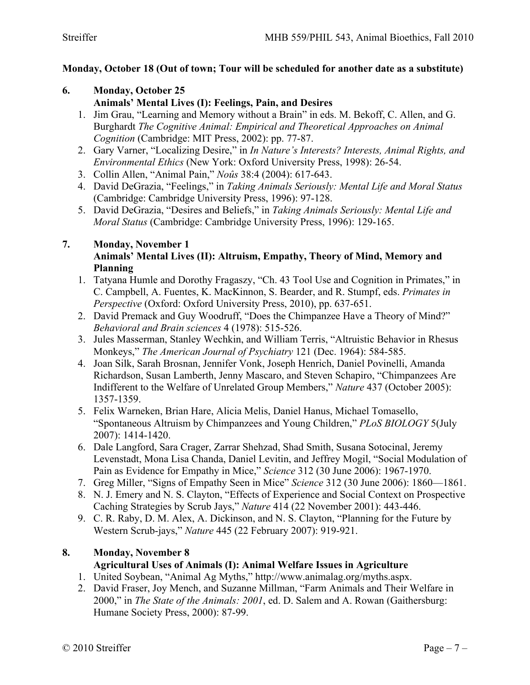#### **Monday, October 18 (Out of town; Tour will be scheduled for another date as a substitute)**

# **6. Monday, October 25**

**Animals' Mental Lives (I): Feelings, Pain, and Desires**

- 1. Jim Grau, "Learning and Memory without a Brain" in eds. M. Bekoff, C. Allen, and G. Burghardt *The Cognitive Animal: Empirical and Theoretical Approaches on Animal Cognition* (Cambridge: MIT Press, 2002): pp. 77-87.
- 2. Gary Varner, "Localizing Desire," in *In Nature's Interests? Interests, Animal Rights, and Environmental Ethics* (New York: Oxford University Press, 1998): 26-54.
- 3. Collin Allen, "Animal Pain," *Noûs* 38:4 (2004): 617-643.
- 4. David DeGrazia, "Feelings," in *Taking Animals Seriously: Mental Life and Moral Status* (Cambridge: Cambridge University Press, 1996): 97-128.
- 5. David DeGrazia, "Desires and Beliefs," in *Taking Animals Seriously: Mental Life and Moral Status* (Cambridge: Cambridge University Press, 1996): 129-165.

# **7. Monday, November 1**

### **Animals' Mental Lives (II): Altruism, Empathy, Theory of Mind, Memory and Planning**

- 1. Tatyana Humle and Dorothy Fragaszy, "Ch. 43 Tool Use and Cognition in Primates," in C. Campbell, A. Fuentes, K. MacKinnon, S. Bearder, and R. Stumpf, eds. *Primates in Perspective* (Oxford: Oxford University Press, 2010), pp. 637-651.
- 2. David Premack and Guy Woodruff, "Does the Chimpanzee Have a Theory of Mind?" *Behavioral and Brain sciences* 4 (1978): 515-526.
- 3. Jules Masserman, Stanley Wechkin, and William Terris, "Altruistic Behavior in Rhesus Monkeys," *The American Journal of Psychiatry* 121 (Dec. 1964): 584-585.
- 4. Joan Silk, Sarah Brosnan, Jennifer Vonk, Joseph Henrich, Daniel Povinelli, Amanda Richardson, Susan Lamberth, Jenny Mascaro, and Steven Schapiro, "Chimpanzees Are Indifferent to the Welfare of Unrelated Group Members," *Nature* 437 (October 2005): 1357-1359.
- 5. Felix Warneken, Brian Hare, Alicia Melis, Daniel Hanus, Michael Tomasello, "Spontaneous Altruism by Chimpanzees and Young Children," *PLoS BIOLOGY* 5(July 2007): 1414-1420.
- 6. Dale Langford, Sara Crager, Zarrar Shehzad, Shad Smith, Susana Sotocinal, Jeremy Levenstadt, Mona Lisa Chanda, Daniel Levitin, and Jeffrey Mogil, "Social Modulation of Pain as Evidence for Empathy in Mice," *Science* 312 (30 June 2006): 1967-1970.
- 7. Greg Miller, "Signs of Empathy Seen in Mice" *Science* 312 (30 June 2006): 1860—1861.
- 8. N. J. Emery and N. S. Clayton, "Effects of Experience and Social Context on Prospective Caching Strategies by Scrub Jays," *Nature* 414 (22 November 2001): 443-446.
- 9. C. R. Raby, D. M. Alex, A. Dickinson, and N. S. Clayton, "Planning for the Future by Western Scrub-jays," *Nature* 445 (22 February 2007): 919-921.

#### **8. Monday, November 8 Agricultural Uses of Animals (I): Animal Welfare Issues in Agriculture**

- 1. United Soybean, "Animal Ag Myths," http://www.animalag.org/myths.aspx.
- 2. David Fraser, Joy Mench, and Suzanne Millman, "Farm Animals and Their Welfare in 2000," in *The State of the Animals: 2001*, ed. D. Salem and A. Rowan (Gaithersburg: Humane Society Press, 2000): 87-99.